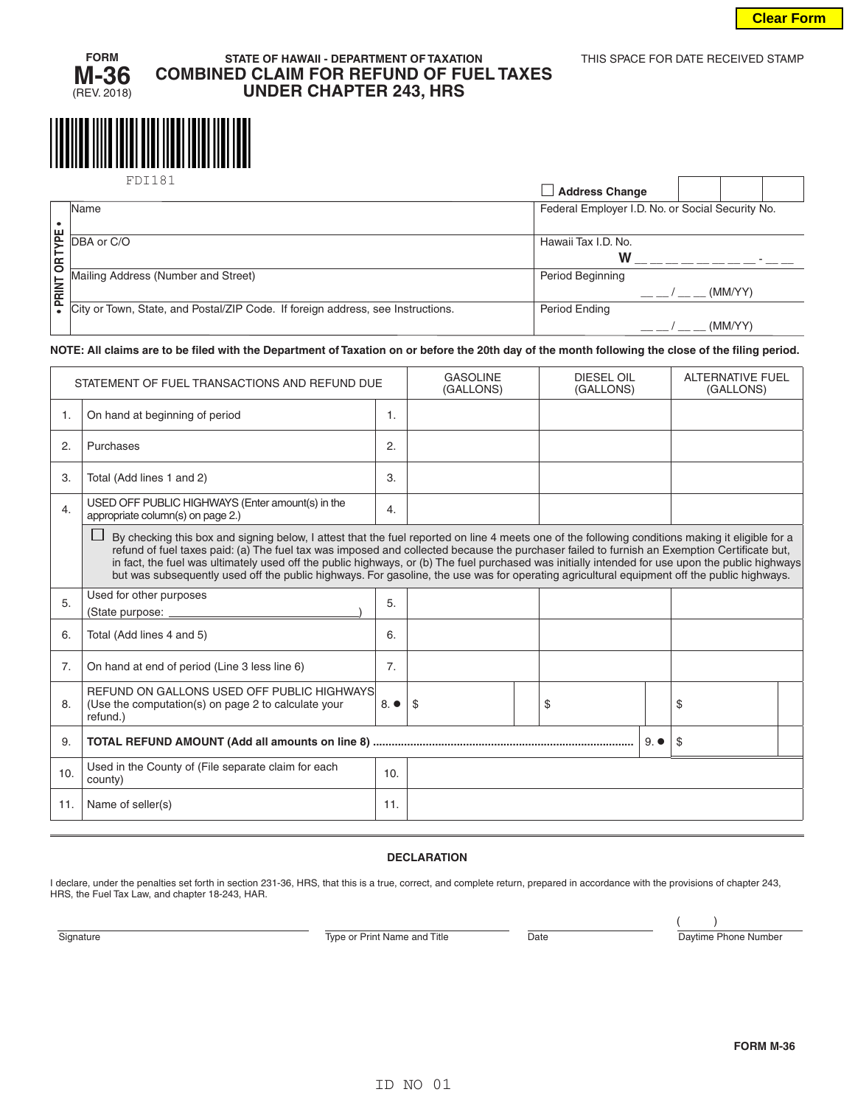

# **STATE OF HAWAII - DEPARTMENT OF TAXATION** THIS SPACE FOR DATE RECEIVED STAMP **COMBINED CLAIM FOR REFUND OF FUEL TAXES UNDER CHAPTER 243, HRS**

|            | FDT181                                                                                                        | <b>Address Change</b>                            |         |  |
|------------|---------------------------------------------------------------------------------------------------------------|--------------------------------------------------|---------|--|
|            | Name                                                                                                          | Federal Employer I.D. No. or Social Security No. |         |  |
| <b>Jax</b> | DBA or C/O                                                                                                    | Hawaii Tax I.D. No.                              |         |  |
| Ιš         | Mailing Address (Number and Street)                                                                           | W<br>Period Beginning                            |         |  |
|            | Mailing Address (Actor)<br>FOR City or Town, State, and Postal/ZIP Code. If foreign address, see Instructions |                                                  | (MM/YY) |  |
|            |                                                                                                               | <b>Period Ending</b>                             |         |  |
|            |                                                                                                               |                                                  | (MM/YY) |  |

#### **NOTE: All claims are to be filed with the Department of Taxation on or before the 20th day of the month following the close of the filing period.**

| STATEMENT OF FUEL TRANSACTIONS AND REFUND DUE |                                                                                                                                                                                                                                                                                                                                                                                                                                                                                                                                                                                                   |                | <b>GASOLINE</b><br>(GALLONS) |  | <b>DIESEL OIL</b><br>(GALLONS) |              | <b>ALTERNATIVE FUEL</b><br>(GALLONS) |  |
|-----------------------------------------------|---------------------------------------------------------------------------------------------------------------------------------------------------------------------------------------------------------------------------------------------------------------------------------------------------------------------------------------------------------------------------------------------------------------------------------------------------------------------------------------------------------------------------------------------------------------------------------------------------|----------------|------------------------------|--|--------------------------------|--------------|--------------------------------------|--|
| 1.                                            | On hand at beginning of period                                                                                                                                                                                                                                                                                                                                                                                                                                                                                                                                                                    | 1.             |                              |  |                                |              |                                      |  |
| 2.                                            | Purchases                                                                                                                                                                                                                                                                                                                                                                                                                                                                                                                                                                                         | 2.             |                              |  |                                |              |                                      |  |
| 3.                                            | Total (Add lines 1 and 2)                                                                                                                                                                                                                                                                                                                                                                                                                                                                                                                                                                         | 3.             |                              |  |                                |              |                                      |  |
| 4.                                            | USED OFF PUBLIC HIGHWAYS (Enter amount(s) in the<br>appropriate column(s) on page 2.)                                                                                                                                                                                                                                                                                                                                                                                                                                                                                                             | 4.             |                              |  |                                |              |                                      |  |
|                                               | By checking this box and signing below, I attest that the fuel reported on line 4 meets one of the following conditions making it eligible for a<br>refund of fuel taxes paid: (a) The fuel tax was imposed and collected because the purchaser failed to furnish an Exemption Certificate but,<br>in fact, the fuel was ultimately used off the public highways, or (b) The fuel purchased was initially intended for use upon the public highways<br>but was subsequently used off the public highways. For gasoline, the use was for operating agricultural equipment off the public highways. |                |                              |  |                                |              |                                      |  |
| 5.                                            | Used for other purposes<br>(State purpose:                                                                                                                                                                                                                                                                                                                                                                                                                                                                                                                                                        | 5.             |                              |  |                                |              |                                      |  |
| 6.                                            | Total (Add lines 4 and 5)                                                                                                                                                                                                                                                                                                                                                                                                                                                                                                                                                                         | 6.             |                              |  |                                |              |                                      |  |
| 7 <sub>1</sub>                                | On hand at end of period (Line 3 less line 6)                                                                                                                                                                                                                                                                                                                                                                                                                                                                                                                                                     | 7 <sub>1</sub> |                              |  |                                |              |                                      |  |
| 8.                                            | REFUND ON GALLONS USED OFF PUBLIC HIGHWAYS<br>(Use the computation(s) on page 2 to calculate your<br>refund.)                                                                                                                                                                                                                                                                                                                                                                                                                                                                                     | $8. \bullet$   | -\$                          |  | \$                             |              | \$                                   |  |
| 9.                                            |                                                                                                                                                                                                                                                                                                                                                                                                                                                                                                                                                                                                   |                |                              |  |                                | $9. \bullet$ | \$                                   |  |
| 10.                                           | Used in the County of (File separate claim for each<br>county)                                                                                                                                                                                                                                                                                                                                                                                                                                                                                                                                    | 10.            |                              |  |                                |              |                                      |  |
| 11.                                           | Name of seller(s)                                                                                                                                                                                                                                                                                                                                                                                                                                                                                                                                                                                 | 11.            |                              |  |                                |              |                                      |  |

#### **DECLARATION**

I declare, under the penalties set forth in section 231-36, HRS, that this is a true, correct, and complete return, prepared in accordance with the provisions of chapter 243, HRS, the Fuel Tax Law, and chapter 18-243, HAR.

Signature **Type or Print Name and Title** Date Date Daytime Phone Number

( )